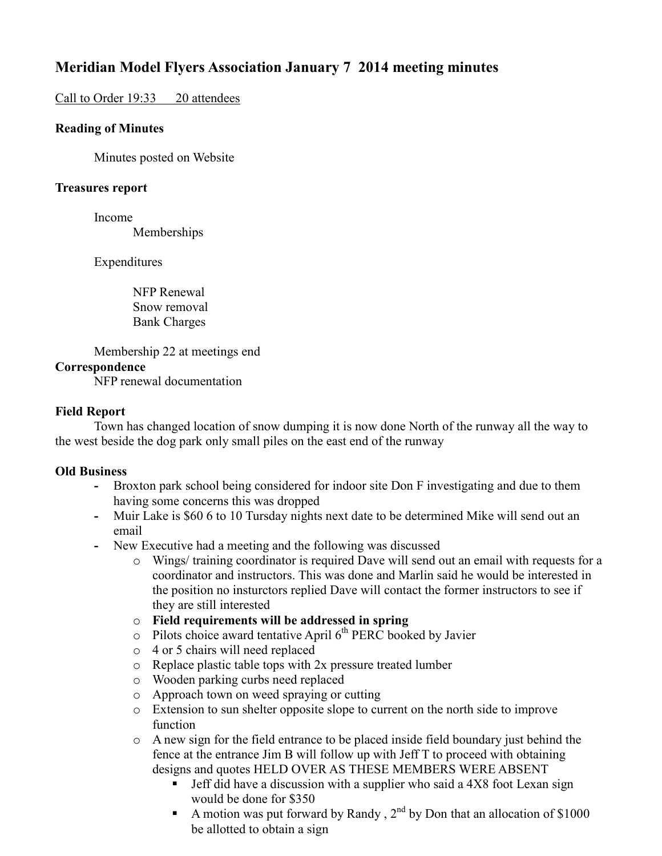# **Meridian Model Flyers Association January 7 2014 meeting minutes**

## Call to Order 19:33 20 attendees

### **Reading of Minutes**

Minutes posted on Website

### **Treasures report**

Income

Memberships

Expenditures

 NFP Renewal Snow removal Bank Charges

Membership 22 at meetings end

#### **Correspondence**

NFP renewal documentation

#### **Field Report**

 Town has changed location of snow dumping it is now done North of the runway all the way to the west beside the dog park only small piles on the east end of the runway

#### **Old Business**

- **-** Broxton park school being considered for indoor site Don F investigating and due to them having some concerns this was dropped
- **-** Muir Lake is \$60 6 to 10 Tursday nights next date to be determined Mike will send out an email
- **-** New Executive had a meeting and the following was discussed
	- o Wings/ training coordinator is required Dave will send out an email with requests for a coordinator and instructors. This was done and Marlin said he would be interested in the position no insturctors replied Dave will contact the former instructors to see if they are still interested
	- o **Field requirements will be addressed in spring**
	- $\circ$  Pilots choice award tentative April 6<sup>th</sup> PERC booked by Javier
	- o 4 or 5 chairs will need replaced
	- o Replace plastic table tops with 2x pressure treated lumber
	- o Wooden parking curbs need replaced
	- o Approach town on weed spraying or cutting
	- o Extension to sun shelter opposite slope to current on the north side to improve function
	- $\circ$  A new sign for the field entrance to be placed inside field boundary just behind the fence at the entrance Jim B will follow up with Jeff T to proceed with obtaining designs and quotes HELD OVER AS THESE MEMBERS WERE ABSENT
		- **Jeff did have a discussion with a supplier who said a 4X8 foot Lexan sign** would be done for \$350
		- A motion was put forward by Randy,  $2^{nd}$  by Don that an allocation of \$1000 be allotted to obtain a sign